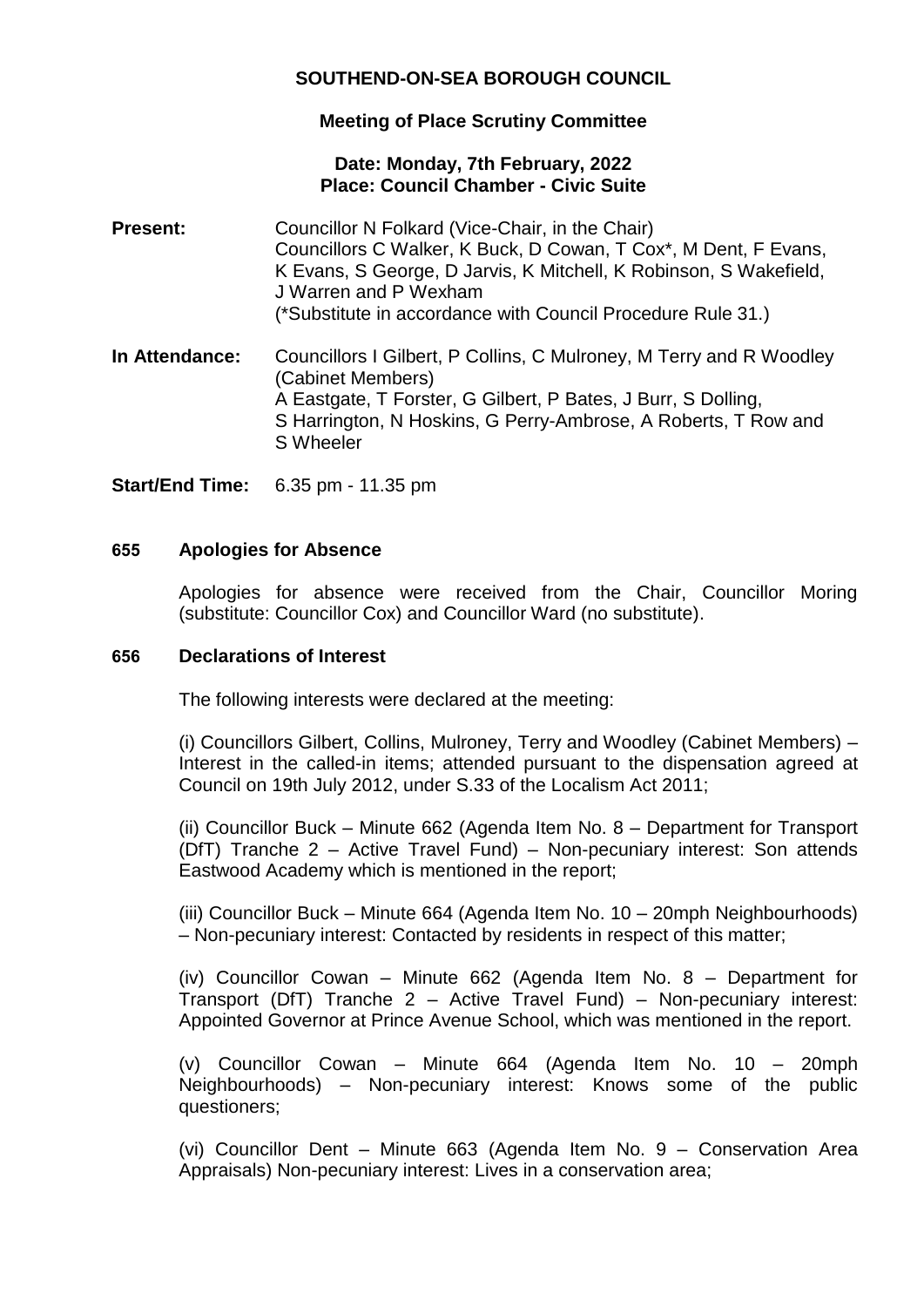# **SOUTHEND-ON-SEA BOROUGH COUNCIL**

## **Meeting of Place Scrutiny Committee**

## **Date: Monday, 7th February, 2022 Place: Council Chamber - Civic Suite**

- **Present:** Councillor N Folkard (Vice-Chair, in the Chair) Councillors C Walker, K Buck, D Cowan, T Cox\*, M Dent, F Evans, K Evans, S George, D Jarvis, K Mitchell, K Robinson, S Wakefield, J Warren and P Wexham (\*Substitute in accordance with Council Procedure Rule 31.)
- **In Attendance:** Councillors I Gilbert, P Collins, C Mulroney, M Terry and R Woodley (Cabinet Members) A Eastgate, T Forster, G Gilbert, P Bates, J Burr, S Dolling, S Harrington, N Hoskins, G Perry-Ambrose, A Roberts, T Row and S Wheeler

**Start/End Time:** 6.35 pm - 11.35 pm

### **655 Apologies for Absence**

Apologies for absence were received from the Chair, Councillor Moring (substitute: Councillor Cox) and Councillor Ward (no substitute).

#### **656 Declarations of Interest**

The following interests were declared at the meeting:

(i) Councillors Gilbert, Collins, Mulroney, Terry and Woodley (Cabinet Members) – Interest in the called-in items; attended pursuant to the dispensation agreed at Council on 19th July 2012, under S.33 of the Localism Act 2011;

(ii) Councillor Buck – Minute 662 (Agenda Item No. 8 – Department for Transport (DfT) Tranche 2 – Active Travel Fund) – Non-pecuniary interest: Son attends Eastwood Academy which is mentioned in the report;

(iii) Councillor Buck – Minute 664 (Agenda Item No. 10 – 20mph Neighbourhoods) – Non-pecuniary interest: Contacted by residents in respect of this matter;

(iv) Councillor Cowan – Minute 662 (Agenda Item No. 8 – Department for Transport (DfT) Tranche 2 – Active Travel Fund) – Non-pecuniary interest: Appointed Governor at Prince Avenue School, which was mentioned in the report.

(v) Councillor Cowan – Minute 664 (Agenda Item No. 10 – 20mph Neighbourhoods) – Non-pecuniary interest: Knows some of the public questioners;

(vi) Councillor Dent – Minute 663 (Agenda Item No. 9 – Conservation Area Appraisals) Non-pecuniary interest: Lives in a conservation area;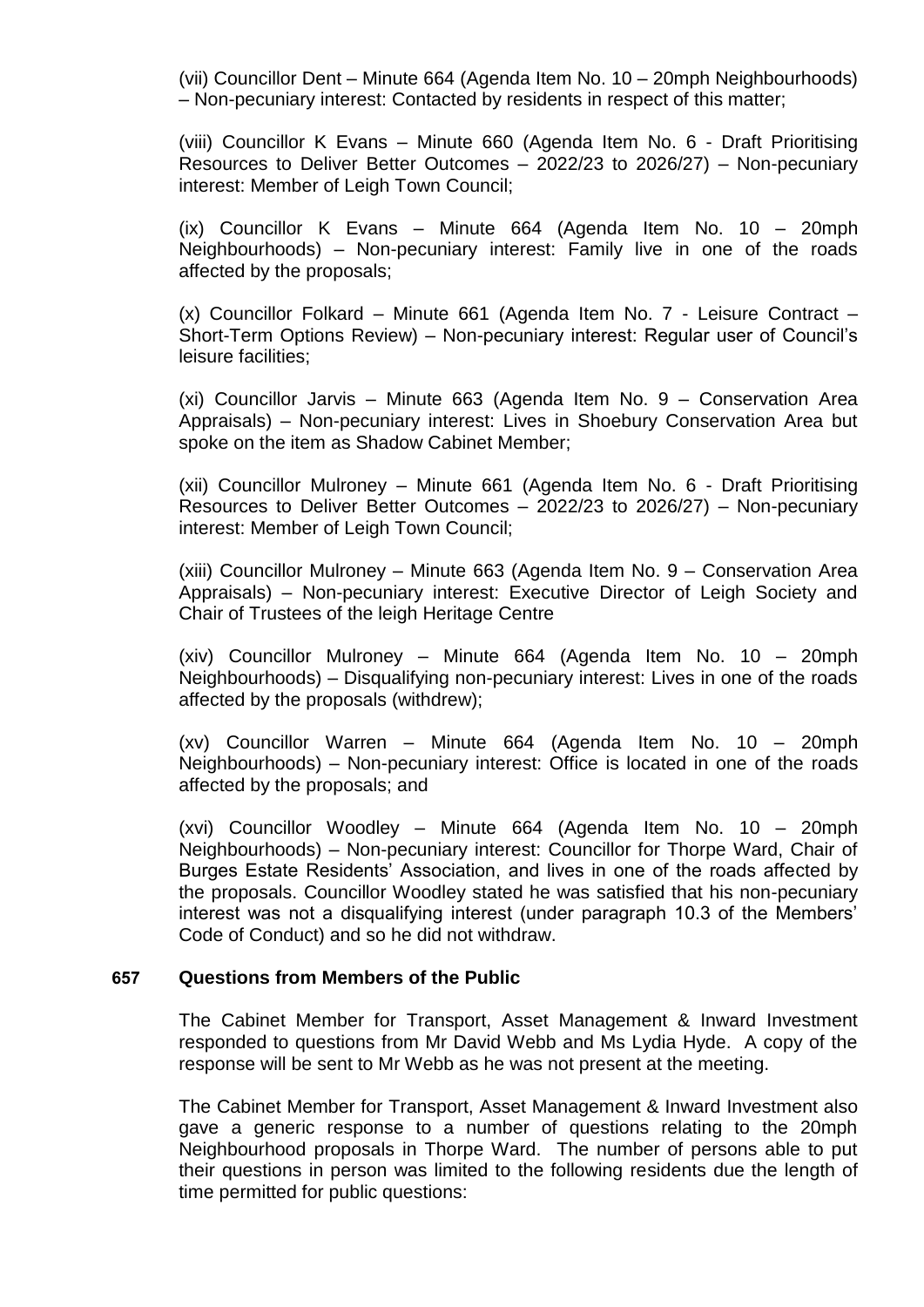(vii) Councillor Dent – Minute 664 (Agenda Item No. 10 – 20mph Neighbourhoods) – Non-pecuniary interest: Contacted by residents in respect of this matter;

(viii) Councillor K Evans – Minute 660 (Agenda Item No. 6 - Draft Prioritising Resources to Deliver Better Outcomes – 2022/23 to 2026/27) – Non-pecuniary interest: Member of Leigh Town Council;

(ix) Councillor K Evans – Minute 664 (Agenda Item No. 10 – 20mph Neighbourhoods) – Non-pecuniary interest: Family live in one of the roads affected by the proposals;

(x) Councillor Folkard – Minute 661 (Agenda Item No. 7 - Leisure Contract – Short-Term Options Review) – Non-pecuniary interest: Regular user of Council's leisure facilities;

(xi) Councillor Jarvis – Minute 663 (Agenda Item No. 9 – Conservation Area Appraisals) – Non-pecuniary interest: Lives in Shoebury Conservation Area but spoke on the item as Shadow Cabinet Member;

(xii) Councillor Mulroney – Minute 661 (Agenda Item No. 6 - Draft Prioritising Resources to Deliver Better Outcomes – 2022/23 to 2026/27) – Non-pecuniary interest: Member of Leigh Town Council;

(xiii) Councillor Mulroney – Minute 663 (Agenda Item No. 9 – Conservation Area Appraisals) – Non-pecuniary interest: Executive Director of Leigh Society and Chair of Trustees of the leigh Heritage Centre

(xiv) Councillor Mulroney – Minute 664 (Agenda Item No. 10 – 20mph Neighbourhoods) – Disqualifying non-pecuniary interest: Lives in one of the roads affected by the proposals (withdrew);

(xv) Councillor Warren – Minute 664 (Agenda Item No. 10 – 20mph Neighbourhoods) – Non-pecuniary interest: Office is located in one of the roads affected by the proposals; and

(xvi) Councillor Woodley – Minute 664 (Agenda Item No. 10 – 20mph Neighbourhoods) – Non-pecuniary interest: Councillor for Thorpe Ward, Chair of Burges Estate Residents' Association, and lives in one of the roads affected by the proposals. Councillor Woodley stated he was satisfied that his non-pecuniary interest was not a disqualifying interest (under paragraph 10.3 of the Members' Code of Conduct) and so he did not withdraw.

#### **657 Questions from Members of the Public**

The Cabinet Member for Transport, Asset Management & Inward Investment responded to questions from Mr David Webb and Ms Lydia Hyde. A copy of the response will be sent to Mr Webb as he was not present at the meeting.

The Cabinet Member for Transport, Asset Management & Inward Investment also gave a generic response to a number of questions relating to the 20mph Neighbourhood proposals in Thorpe Ward. The number of persons able to put their questions in person was limited to the following residents due the length of time permitted for public questions: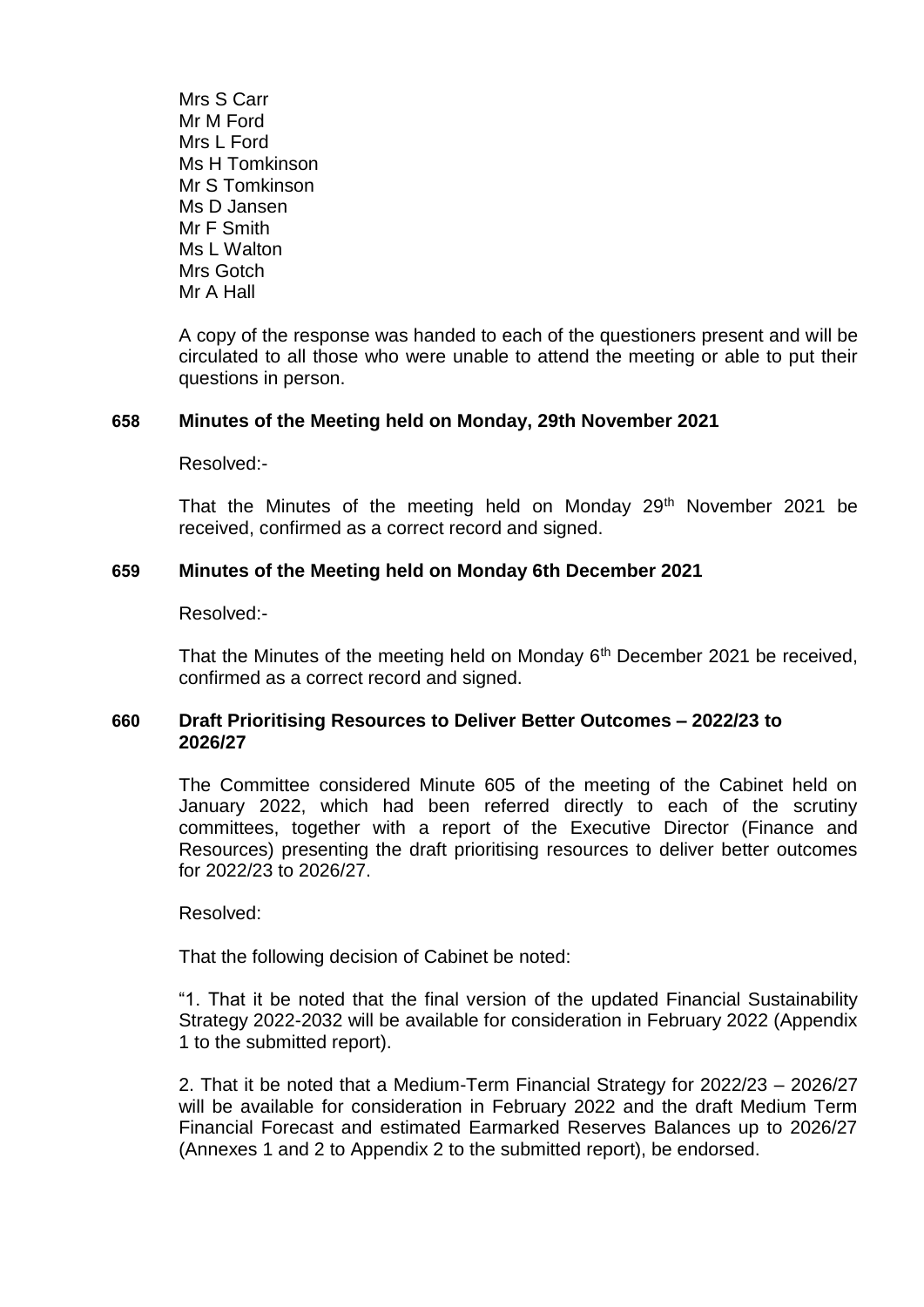Mrs S Carr Mr M Ford Mrs L Ford Ms H Tomkinson Mr S Tomkinson Ms D Jansen Mr F Smith Ms L Walton Mrs Gotch Mr A Hall

A copy of the response was handed to each of the questioners present and will be circulated to all those who were unable to attend the meeting or able to put their questions in person.

#### **658 Minutes of the Meeting held on Monday, 29th November 2021**

Resolved:-

That the Minutes of the meeting held on Monday  $29<sup>th</sup>$  November 2021 be received, confirmed as a correct record and signed.

### **659 Minutes of the Meeting held on Monday 6th December 2021**

Resolved:-

That the Minutes of the meeting held on Monday  $6<sup>th</sup>$  December 2021 be received, confirmed as a correct record and signed.

### **660 Draft Prioritising Resources to Deliver Better Outcomes – 2022/23 to 2026/27**

The Committee considered Minute 605 of the meeting of the Cabinet held on January 2022, which had been referred directly to each of the scrutiny committees, together with a report of the Executive Director (Finance and Resources) presenting the draft prioritising resources to deliver better outcomes for 2022/23 to 2026/27.

Resolved:

That the following decision of Cabinet be noted:

"1. That it be noted that the final version of the updated Financial Sustainability Strategy 2022-2032 will be available for consideration in February 2022 (Appendix 1 to the submitted report).

2. That it be noted that a Medium-Term Financial Strategy for 2022/23 – 2026/27 will be available for consideration in February 2022 and the draft Medium Term Financial Forecast and estimated Earmarked Reserves Balances up to 2026/27 (Annexes 1 and 2 to Appendix 2 to the submitted report), be endorsed.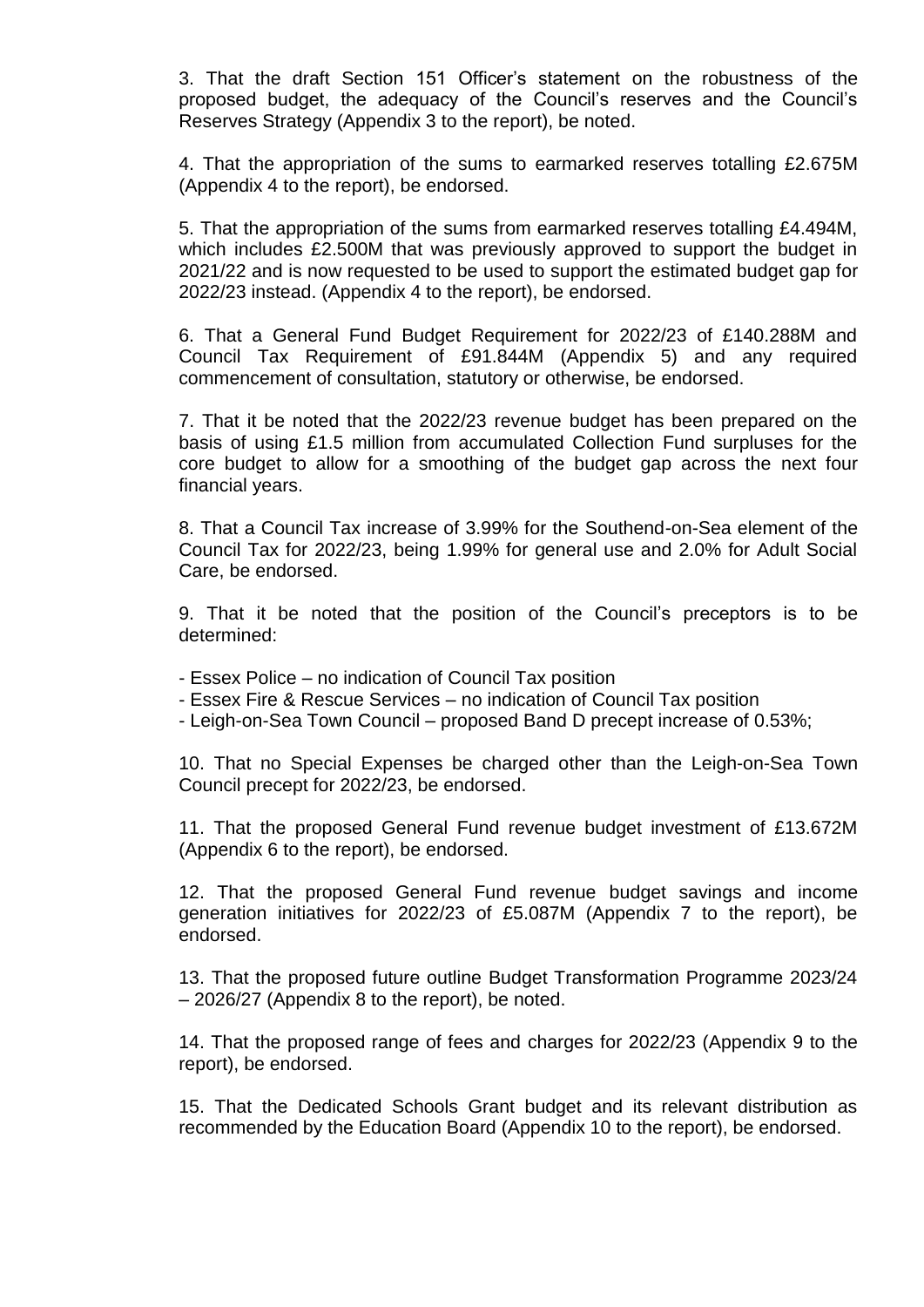3. That the draft Section 151 Officer's statement on the robustness of the proposed budget, the adequacy of the Council's reserves and the Council's Reserves Strategy (Appendix 3 to the report), be noted.

4. That the appropriation of the sums to earmarked reserves totalling £2.675M (Appendix 4 to the report), be endorsed.

5. That the appropriation of the sums from earmarked reserves totalling £4.494M, which includes £2.500M that was previously approved to support the budget in 2021/22 and is now requested to be used to support the estimated budget gap for 2022/23 instead. (Appendix 4 to the report), be endorsed.

6. That a General Fund Budget Requirement for 2022/23 of £140.288M and Council Tax Requirement of £91.844M (Appendix 5) and any required commencement of consultation, statutory or otherwise, be endorsed.

7. That it be noted that the 2022/23 revenue budget has been prepared on the basis of using £1.5 million from accumulated Collection Fund surpluses for the core budget to allow for a smoothing of the budget gap across the next four financial years.

8. That a Council Tax increase of 3.99% for the Southend-on-Sea element of the Council Tax for 2022/23, being 1.99% for general use and 2.0% for Adult Social Care, be endorsed.

9. That it be noted that the position of the Council's preceptors is to be determined:

- Essex Police no indication of Council Tax position
- Essex Fire & Rescue Services no indication of Council Tax position
- Leigh-on-Sea Town Council proposed Band D precept increase of 0.53%;

10. That no Special Expenses be charged other than the Leigh-on-Sea Town Council precept for 2022/23, be endorsed.

11. That the proposed General Fund revenue budget investment of £13.672M (Appendix 6 to the report), be endorsed.

12. That the proposed General Fund revenue budget savings and income generation initiatives for 2022/23 of £5.087M (Appendix 7 to the report), be endorsed.

13. That the proposed future outline Budget Transformation Programme 2023/24 – 2026/27 (Appendix 8 to the report), be noted.

14. That the proposed range of fees and charges for 2022/23 (Appendix 9 to the report), be endorsed.

15. That the Dedicated Schools Grant budget and its relevant distribution as recommended by the Education Board (Appendix 10 to the report), be endorsed.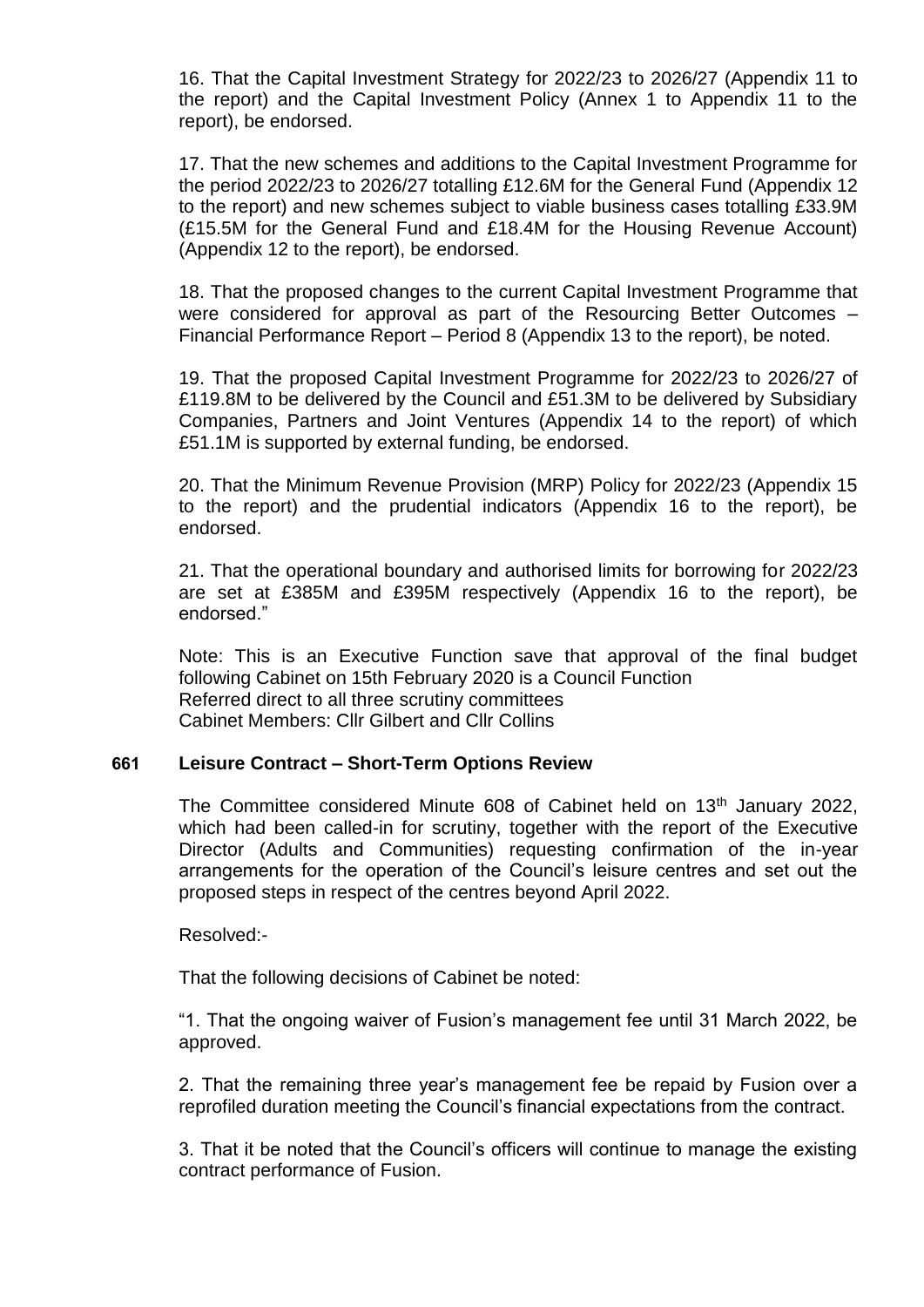16. That the Capital Investment Strategy for 2022/23 to 2026/27 (Appendix 11 to the report) and the Capital Investment Policy (Annex 1 to Appendix 11 to the report), be endorsed.

17. That the new schemes and additions to the Capital Investment Programme for the period 2022/23 to 2026/27 totalling £12.6M for the General Fund (Appendix 12 to the report) and new schemes subject to viable business cases totalling £33.9M (£15.5M for the General Fund and £18.4M for the Housing Revenue Account) (Appendix 12 to the report), be endorsed.

18. That the proposed changes to the current Capital Investment Programme that were considered for approval as part of the Resourcing Better Outcomes – Financial Performance Report – Period 8 (Appendix 13 to the report), be noted.

19. That the proposed Capital Investment Programme for 2022/23 to 2026/27 of £119.8M to be delivered by the Council and £51.3M to be delivered by Subsidiary Companies, Partners and Joint Ventures (Appendix 14 to the report) of which £51.1M is supported by external funding, be endorsed.

20. That the Minimum Revenue Provision (MRP) Policy for 2022/23 (Appendix 15 to the report) and the prudential indicators (Appendix 16 to the report), be endorsed.

21. That the operational boundary and authorised limits for borrowing for 2022/23 are set at £385M and £395M respectively (Appendix 16 to the report), be endorsed."

Note: This is an Executive Function save that approval of the final budget following Cabinet on 15th February 2020 is a Council Function Referred direct to all three scrutiny committees Cabinet Members: Cllr Gilbert and Cllr Collins

#### **661 Leisure Contract – Short-Term Options Review**

The Committee considered Minute 608 of Cabinet held on 13<sup>th</sup> January 2022, which had been called-in for scrutiny, together with the report of the Executive Director (Adults and Communities) requesting confirmation of the in-year arrangements for the operation of the Council's leisure centres and set out the proposed steps in respect of the centres beyond April 2022.

Resolved:-

That the following decisions of Cabinet be noted:

"1. That the ongoing waiver of Fusion's management fee until 31 March 2022, be approved.

2. That the remaining three year's management fee be repaid by Fusion over a reprofiled duration meeting the Council's financial expectations from the contract.

3. That it be noted that the Council's officers will continue to manage the existing contract performance of Fusion.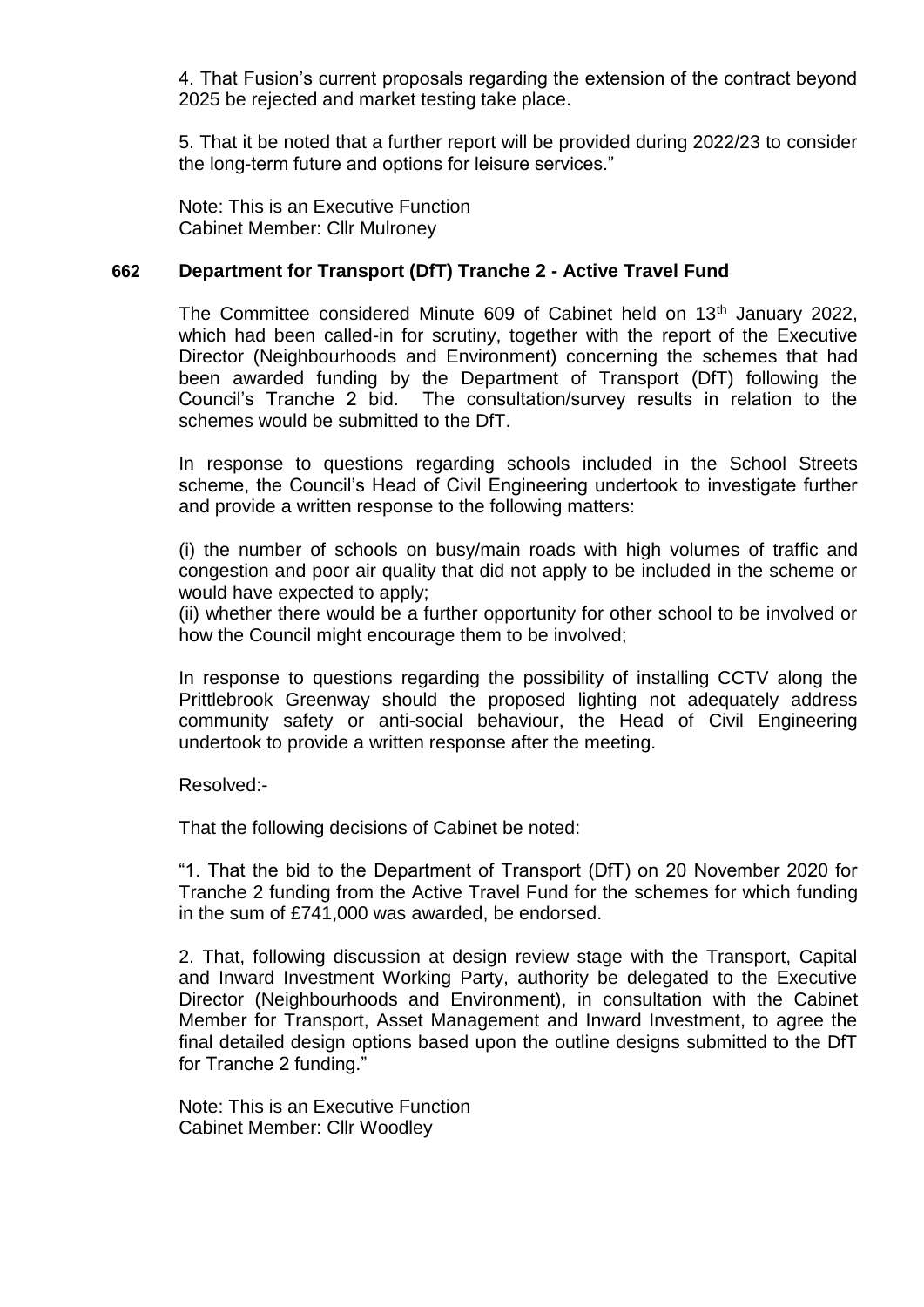4. That Fusion's current proposals regarding the extension of the contract beyond 2025 be rejected and market testing take place.

5. That it be noted that a further report will be provided during 2022/23 to consider the long-term future and options for leisure services."

Note: This is an Executive Function Cabinet Member: Cllr Mulroney

## **662 Department for Transport (DfT) Tranche 2 - Active Travel Fund**

The Committee considered Minute 609 of Cabinet held on 13<sup>th</sup> January 2022, which had been called-in for scrutiny, together with the report of the Executive Director (Neighbourhoods and Environment) concerning the schemes that had been awarded funding by the Department of Transport (DfT) following the Council's Tranche 2 bid. The consultation/survey results in relation to the schemes would be submitted to the DfT.

In response to questions regarding schools included in the School Streets scheme, the Council's Head of Civil Engineering undertook to investigate further and provide a written response to the following matters:

(i) the number of schools on busy/main roads with high volumes of traffic and congestion and poor air quality that did not apply to be included in the scheme or would have expected to apply;

(ii) whether there would be a further opportunity for other school to be involved or how the Council might encourage them to be involved;

In response to questions regarding the possibility of installing CCTV along the Prittlebrook Greenway should the proposed lighting not adequately address community safety or anti-social behaviour, the Head of Civil Engineering undertook to provide a written response after the meeting.

Resolved:-

That the following decisions of Cabinet be noted:

"1. That the bid to the Department of Transport (DfT) on 20 November 2020 for Tranche 2 funding from the Active Travel Fund for the schemes for which funding in the sum of £741,000 was awarded, be endorsed.

2. That, following discussion at design review stage with the Transport, Capital and Inward Investment Working Party, authority be delegated to the Executive Director (Neighbourhoods and Environment), in consultation with the Cabinet Member for Transport, Asset Management and Inward Investment, to agree the final detailed design options based upon the outline designs submitted to the DfT for Tranche 2 funding."

Note: This is an Executive Function Cabinet Member: Cllr Woodley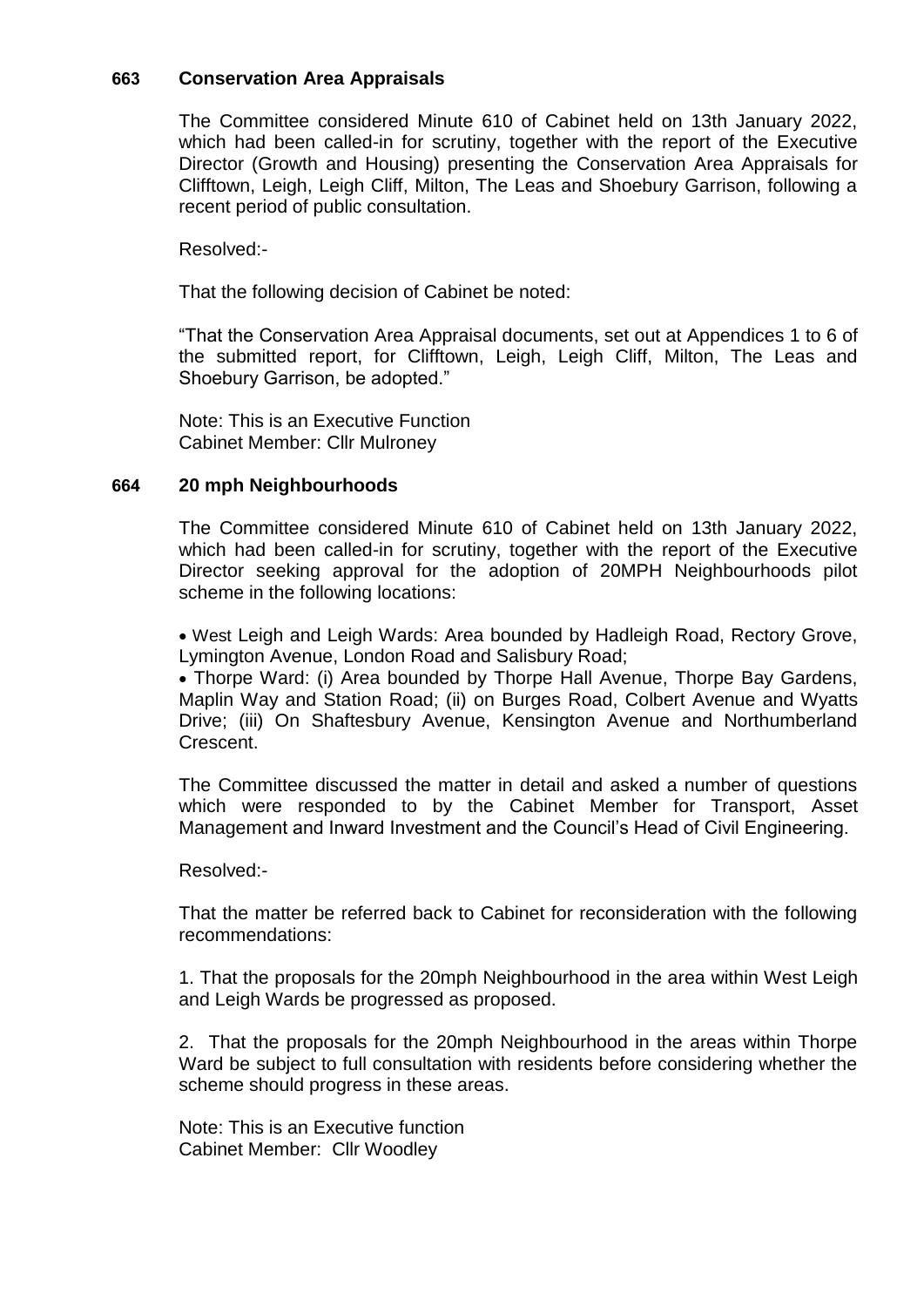## **663 Conservation Area Appraisals**

The Committee considered Minute 610 of Cabinet held on 13th January 2022, which had been called-in for scrutiny, together with the report of the Executive Director (Growth and Housing) presenting the Conservation Area Appraisals for Clifftown, Leigh, Leigh Cliff, Milton, The Leas and Shoebury Garrison, following a recent period of public consultation.

Resolved:-

That the following decision of Cabinet be noted:

"That the Conservation Area Appraisal documents, set out at Appendices 1 to 6 of the submitted report, for Clifftown, Leigh, Leigh Cliff, Milton, The Leas and Shoebury Garrison, be adopted."

Note: This is an Executive Function Cabinet Member: Cllr Mulroney

#### **664 20 mph Neighbourhoods**

The Committee considered Minute 610 of Cabinet held on 13th January 2022, which had been called-in for scrutiny, together with the report of the Executive Director seeking approval for the adoption of 20MPH Neighbourhoods pilot scheme in the following locations:

 West Leigh and Leigh Wards: Area bounded by Hadleigh Road, Rectory Grove, Lymington Avenue, London Road and Salisbury Road;

 Thorpe Ward: (i) Area bounded by Thorpe Hall Avenue, Thorpe Bay Gardens, Maplin Way and Station Road; (ii) on Burges Road, Colbert Avenue and Wyatts Drive; (iii) On Shaftesbury Avenue, Kensington Avenue and Northumberland **Crescent** 

The Committee discussed the matter in detail and asked a number of questions which were responded to by the Cabinet Member for Transport, Asset Management and Inward Investment and the Council's Head of Civil Engineering.

Resolved:-

That the matter be referred back to Cabinet for reconsideration with the following recommendations:

1. That the proposals for the 20mph Neighbourhood in the area within West Leigh and Leigh Wards be progressed as proposed.

2. That the proposals for the 20mph Neighbourhood in the areas within Thorpe Ward be subject to full consultation with residents before considering whether the scheme should progress in these areas.

Note: This is an Executive function Cabinet Member: Cllr Woodley